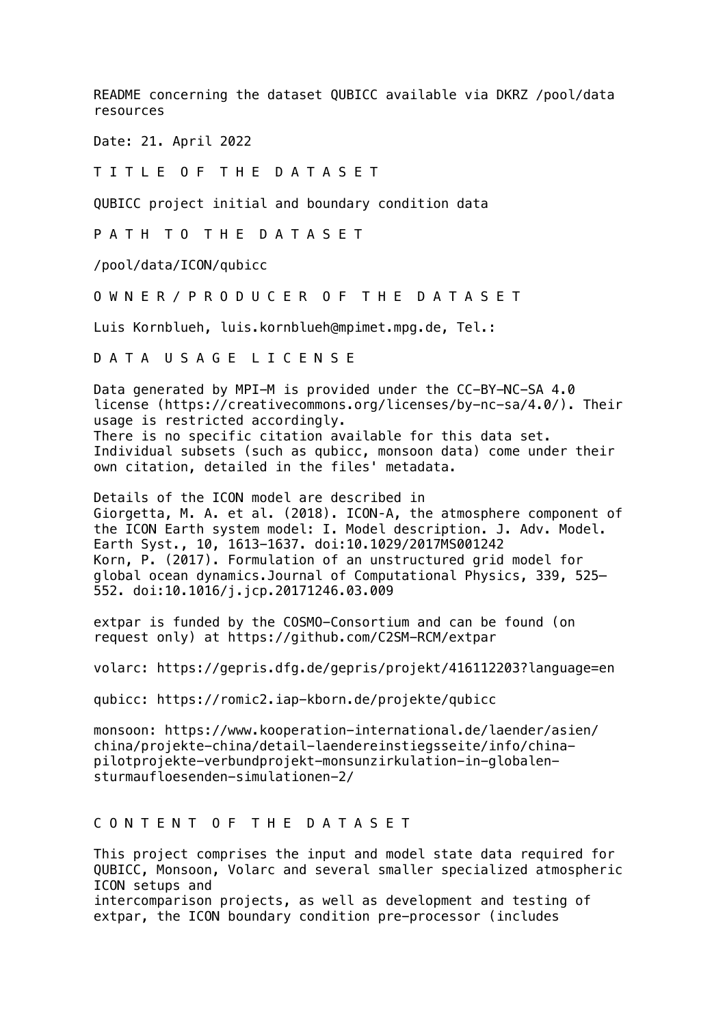README concerning the dataset QUBICC available via DKRZ /pool/data resources

Date: 21. April 2022

T I T L E O F T H E D A T A S E T

QUBICC project initial and boundary condition data

P A T H T O T H E D A T A S E T

/pool/data/ICON/qubicc

O W N E R / P R O D U C E R O F T H E D A T A S E T

Luis Kornblueh, luis.kornblueh@mpimet.mpg.de, Tel.:

D A T A U S A G E L I C E N S E

Data generated by MPI-M is provided under the CC-BY-NC-SA 4.0 license (https://creativecommons.org/licenses/by-nc-sa/4.0/). Their usage is restricted accordingly. There is no specific citation available for this data set. Individual subsets (such as qubicc, monsoon data) come under their own citation, detailed in the files' metadata.

Details of the ICON model are described in Giorgetta, M. A. et al. (2018). ICON‐A, the atmosphere component of the ICON Earth system model: I. Model description. J. Adv. Model. Earth Syst., 10, 1613-1637. doi:10.1029/2017MS001242 Korn, P. (2017). Formulation of an unstructured grid model for global ocean dynamics.Journal of Computational Physics, 339, 525– 552. doi:10.1016/j.jcp.20171246.03.009

extpar is funded by the COSMO-Consortium and can be found (on request only) at https://github.com/C2SM-RCM/extpar

volarc: https://gepris.dfg.de/gepris/projekt/416112203?language=en

qubicc: https://romic2.iap-kborn.de/projekte/qubicc

monsoon: https://www.kooperation-international.de/laender/asien/ china/projekte-china/detail-laendereinstiegsseite/info/chinapilotprojekte-verbundprojekt-monsunzirkulation-in-globalensturmaufloesenden-simulationen-2/

## C O N T E N T O F T H E D A T A S E T

This project comprises the input and model state data required for QUBICC, Monsoon, Volarc and several smaller specialized atmospheric ICON setups and intercomparison projects, as well as development and testing of extpar, the ICON boundary condition pre-processor (includes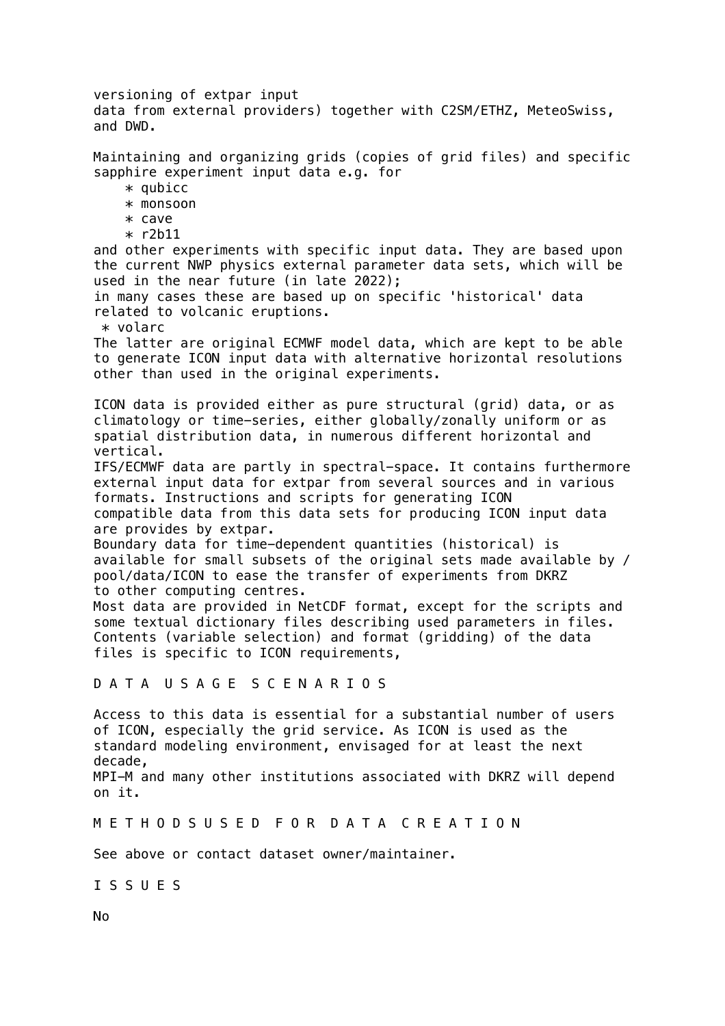versioning of extpar input data from external providers) together with C2SM/ETHZ, MeteoSwiss, and DWD. Maintaining and organizing grids (copies of grid files) and specific sapphire experiment input data e.g. for  $*$  qubicc \* monsoon \* cave \* r2b11 and other experiments with specific input data. They are based upon the current NWP physics external parameter data sets, which will be used in the near future (in late 2022); in many cases these are based up on specific 'historical' data related to volcanic eruptions. \* volarc The latter are original ECMWF model data, which are kept to be able to generate ICON input data with alternative horizontal resolutions other than used in the original experiments. ICON data is provided either as pure structural (grid) data, or as climatology or time-series, either globally/zonally uniform or as spatial distribution data, in numerous different horizontal and vertical. IFS/ECMWF data are partly in spectral-space. It contains furthermore external input data for extpar from several sources and in various formats. Instructions and scripts for generating ICON compatible data from this data sets for producing ICON input data are provides by extpar. Boundary data for time-dependent quantities (historical) is available for small subsets of the original sets made available by / pool/data/ICON to ease the transfer of experiments from DKRZ to other computing centres. Most data are provided in NetCDF format, except for the scripts and some textual dictionary files describing used parameters in files. Contents (variable selection) and format (gridding) of the data files is specific to ICON requirements, D A T A U S A G E S C E N A R I O S Access to this data is essential for a substantial number of users of ICON, especially the grid service. As ICON is used as the standard modeling environment, envisaged for at least the next decade, MPI-M and many other institutions associated with DKRZ will depend on it. M E T H O D S U S E D F O R D A T A C R E A T I O N See above or contact dataset owner/maintainer. I S S U E S

No